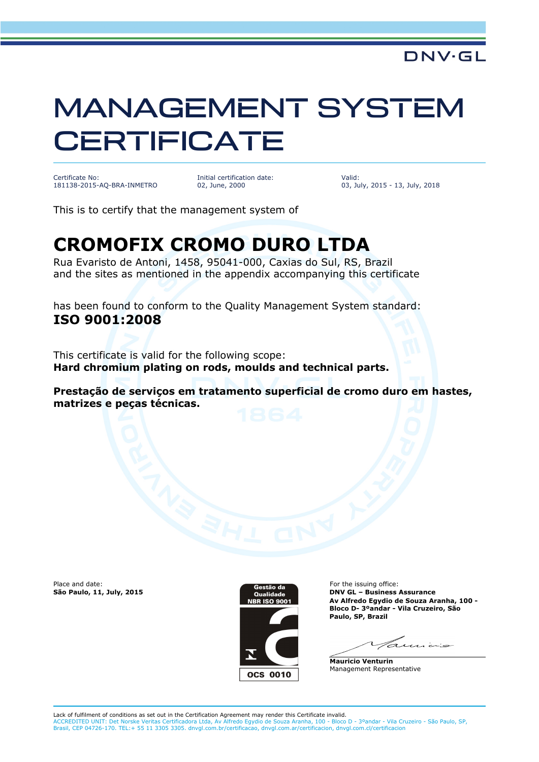## MANAGEMENT SYSTEM **CERTIFICATE**

Certificate No: 181138-2015-AQ-BRA-INMETRO Initial certification date: 02, June, 2000

Valid: 03, July, 2015 - 13, July, 2018

This is to certify that the management system of

## **CROMOFIX CROMO DURO LTDA**

Rua Evaristo de Antoni, 1458, 95041-000, Caxias do Sul, RS, Brazil and the sites as mentioned in the appendix accompanying this certificate

has been found to conform to the Quality Management System standard: **ISO 9001:2008**

This certificate is valid for the following scope: **Hard chromium plating on rods, moulds and technical parts.**

**Prestação de serviços em tratamento superficial de cromo duro em hastes, matrizes e peças técnicas.**

Place and date:<br>São Paulo, 11, July, 2015



For the issuing office: **São Paulo, 11, July, 2015 DNV GL – Business Assurance Av Alfredo Egydio de Souza Aranha, 100 - Bloco D- 3ºandar - Vila Cruzeiro, São Paulo, SP, Brazil**

Tamino

**Mauricio Venturin** Management Representative

Lack of fulfilment of conditions as set out in the Certification Agreement may render this Certificate invalid. ACCREDITED UNIT: Det Norske Veritas Certificadora Ltda, Av Alfredo Egydio de Souza Aranha, 100 - Bloco D - 3ºandar - Vila Cruzeiro - São Paulo, SP,<br>Brasil, CEP 04726-170. TEL:+ 55 11 3305 3305. dnvgl.com.br/certificacao, d